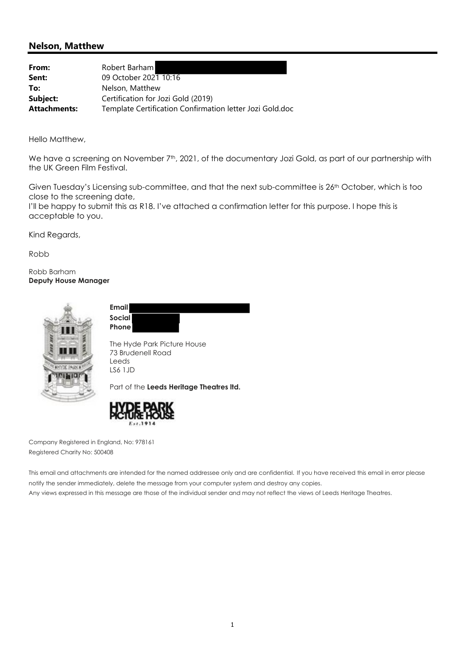## **Nelson, Matthew**

| From:               | Robert Barham                                            |
|---------------------|----------------------------------------------------------|
| Sent:               | 09 October 2021 10:16                                    |
| To:                 | Nelson, Matthew                                          |
| Subject:            | Certification for Jozi Gold (2019)                       |
| <b>Attachments:</b> | Template Certification Confirmation letter Jozi Gold.doc |

Hello Matthew,

We have a screening on November 7<sup>th</sup>, 2021, of the documentary Jozi Gold, as part of our partnership with the UK Green Film Festival.

Given Tuesday's Licensing sub-committee, and that the next sub-committee is 26th October, which is too close to the screening date,

I'll be happy to submit this as R18. I've attached a confirmation letter for this purpose. I hope this is acceptable to you.

Kind Regards,

Robb

Robb Barham **Deputy House Manager** 



**Email Social Phone**

The Hyde Park Picture House 73 Brudenell Road Leeds LS6 1JD

Part of the **Leeds Heritage Theatres ltd.** 



Company Registered in England, No: 978161 Registered Charity No: 500408

This email and attachments are intended for the named addressee only and are confidential. If you have received this email in error please notify the sender immediately, delete the message from your computer system and destroy any copies. Any views expressed in this message are those of the individual sender and may not reflect the views of Leeds Heritage Theatres.